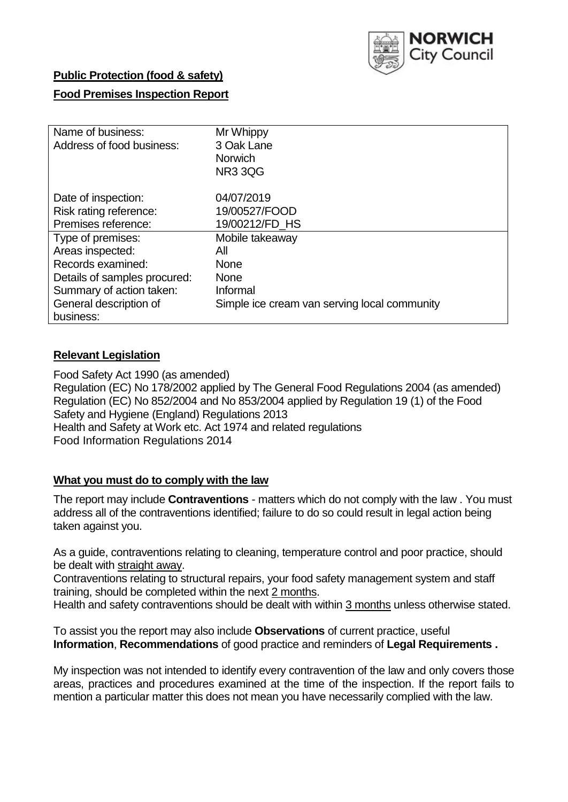

## **Public Protection (food & safety)**

## **Food Premises Inspection Report**

| Name of business:            | Mr Whippy                                    |
|------------------------------|----------------------------------------------|
| Address of food business:    | 3 Oak Lane                                   |
|                              | <b>Norwich</b>                               |
|                              | <b>NR3 3QG</b>                               |
| Date of inspection:          | 04/07/2019                                   |
| Risk rating reference:       | 19/00527/FOOD                                |
| Premises reference:          | 19/00212/FD HS                               |
| Type of premises:            | Mobile takeaway                              |
| Areas inspected:             | All                                          |
| Records examined:            | <b>None</b>                                  |
| Details of samples procured: | <b>None</b>                                  |
| Summary of action taken:     | Informal                                     |
| General description of       | Simple ice cream van serving local community |
| business:                    |                                              |

## **Relevant Legislation**

Food Safety Act 1990 (as amended) Regulation (EC) No 178/2002 applied by The General Food Regulations 2004 (as amended) Regulation (EC) No 852/2004 and No 853/2004 applied by Regulation 19 (1) of the Food Safety and Hygiene (England) Regulations 2013 Health and Safety at Work etc. Act 1974 and related regulations Food Information Regulations 2014

# **What you must do to comply with the law**

The report may include **Contraventions** - matters which do not comply with the law . You must address all of the contraventions identified; failure to do so could result in legal action being taken against you.

As a guide, contraventions relating to cleaning, temperature control and poor practice, should be dealt with straight away.

Contraventions relating to structural repairs, your food safety management system and staff training, should be completed within the next 2 months.

Health and safety contraventions should be dealt with within 3 months unless otherwise stated.

To assist you the report may also include **Observations** of current practice, useful **Information**, **Recommendations** of good practice and reminders of **Legal Requirements .**

My inspection was not intended to identify every contravention of the law and only covers those areas, practices and procedures examined at the time of the inspection. If the report fails to mention a particular matter this does not mean you have necessarily complied with the law.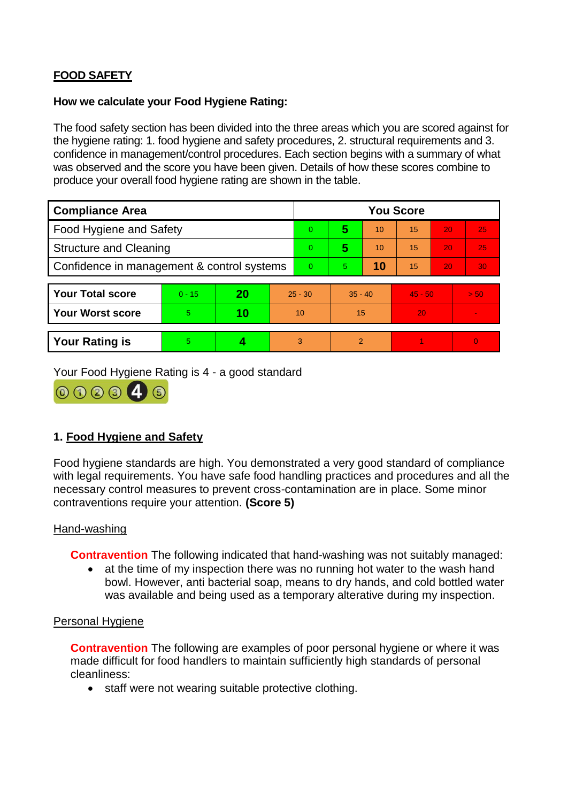# **FOOD SAFETY**

#### **How we calculate your Food Hygiene Rating:**

The food safety section has been divided into the three areas which you are scored against for the hygiene rating: 1. food hygiene and safety procedures, 2. structural requirements and 3. confidence in management/control procedures. Each section begins with a summary of what was observed and the score you have been given. Details of how these scores combine to produce your overall food hygiene rating are shown in the table.

| <b>Compliance Area</b>                     |          |    |           | <b>You Score</b> |                |    |           |    |                |  |  |
|--------------------------------------------|----------|----|-----------|------------------|----------------|----|-----------|----|----------------|--|--|
| Food Hygiene and Safety                    |          |    |           | $\overline{0}$   | 5              | 10 | 15        | 20 | 25             |  |  |
| <b>Structure and Cleaning</b>              |          |    |           | $\Omega$         | 5              | 10 | 15        | 20 | 25             |  |  |
| Confidence in management & control systems |          |    | $\Omega$  | 5                | 10             | 15 | 20        | 30 |                |  |  |
|                                            |          |    |           |                  |                |    |           |    |                |  |  |
| <b>Your Total score</b>                    | $0 - 15$ | 20 | $25 - 30$ |                  | $35 - 40$      |    | $45 - 50$ |    | > 50           |  |  |
| <b>Your Worst score</b>                    | 5        | 10 | 10        |                  | 15             |    | 20        |    | $\blacksquare$ |  |  |
|                                            |          |    |           |                  |                |    |           |    |                |  |  |
| <b>Your Rating is</b>                      | 5        |    |           | 3                | $\overline{2}$ |    |           |    | $\Omega$       |  |  |

Your Food Hygiene Rating is 4 - a good standard



# **1. Food Hygiene and Safety**

Food hygiene standards are high. You demonstrated a very good standard of compliance with legal requirements. You have safe food handling practices and procedures and all the necessary control measures to prevent cross-contamination are in place. Some minor contraventions require your attention. **(Score 5)**

### Hand-washing

**Contravention** The following indicated that hand-washing was not suitably managed:

 at the time of my inspection there was no running hot water to the wash hand bowl. However, anti bacterial soap, means to dry hands, and cold bottled water was available and being used as a temporary alterative during my inspection.

### Personal Hygiene

**Contravention** The following are examples of poor personal hygiene or where it was made difficult for food handlers to maintain sufficiently high standards of personal cleanliness:

• staff were not wearing suitable protective clothing.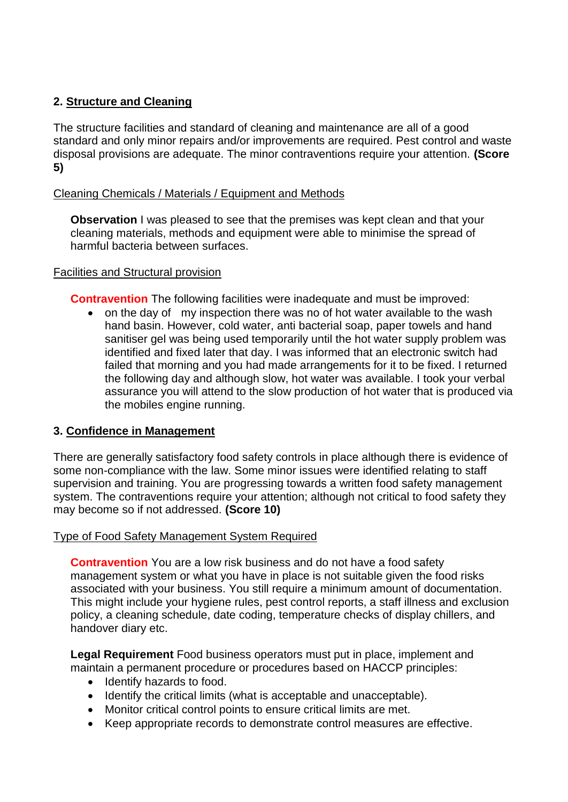# **2. Structure and Cleaning**

The structure facilities and standard of cleaning and maintenance are all of a good standard and only minor repairs and/or improvements are required. Pest control and waste disposal provisions are adequate. The minor contraventions require your attention. **(Score 5)**

## Cleaning Chemicals / Materials / Equipment and Methods

**Observation** I was pleased to see that the premises was kept clean and that your cleaning materials, methods and equipment were able to minimise the spread of harmful bacteria between surfaces.

### Facilities and Structural provision

**Contravention** The following facilities were inadequate and must be improved:

• on the day of my inspection there was no of hot water available to the wash hand basin. However, cold water, anti bacterial soap, paper towels and hand sanitiser gel was being used temporarily until the hot water supply problem was identified and fixed later that day. I was informed that an electronic switch had failed that morning and you had made arrangements for it to be fixed. I returned the following day and although slow, hot water was available. I took your verbal assurance you will attend to the slow production of hot water that is produced via the mobiles engine running.

# **3. Confidence in Management**

There are generally satisfactory food safety controls in place although there is evidence of some non-compliance with the law. Some minor issues were identified relating to staff supervision and training. You are progressing towards a written food safety management system. The contraventions require your attention; although not critical to food safety they may become so if not addressed. **(Score 10)**

### Type of Food Safety Management System Required

**Contravention** You are a low risk business and do not have a food safety management system or what you have in place is not suitable given the food risks associated with your business. You still require a minimum amount of documentation. This might include your hygiene rules, pest control reports, a staff illness and exclusion policy, a cleaning schedule, date coding, temperature checks of display chillers, and handover diary etc.

**Legal Requirement** Food business operators must put in place, implement and maintain a permanent procedure or procedures based on HACCP principles:

- Identify hazards to food.
- Identify the critical limits (what is acceptable and unacceptable).
- Monitor critical control points to ensure critical limits are met.
- Keep appropriate records to demonstrate control measures are effective.